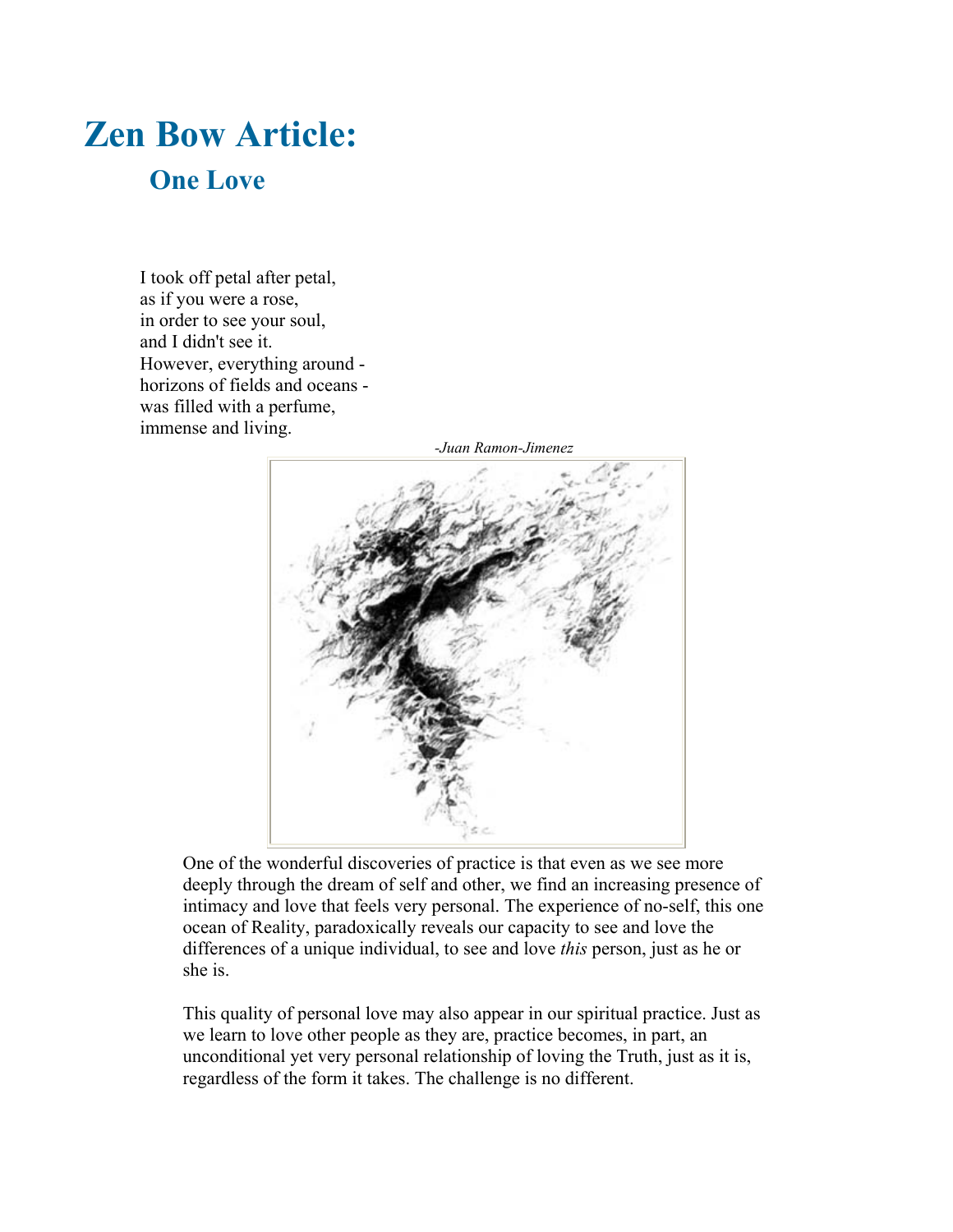## **Zen Bow Article: One Love**

I took off petal after petal, as if you were a rose, in order to see your soul, and I didn't see it. However, everything around horizons of fields and oceans was filled with a perfume, immense and living.



One of the wonderful discoveries of practice is that even as we see more deeply through the dream of self and other, we find an increasing presence of intimacy and love that feels very personal. The experience of no-self, this one ocean of Reality, paradoxically reveals our capacity to see and love the differences of a unique individual, to see and love *this* person, just as he or she is.

This quality of personal love may also appear in our spiritual practice. Just as we learn to love other people as they are, practice becomes, in part, an unconditional yet very personal relationship of loving the Truth, just as it is, regardless of the form it takes. The challenge is no different.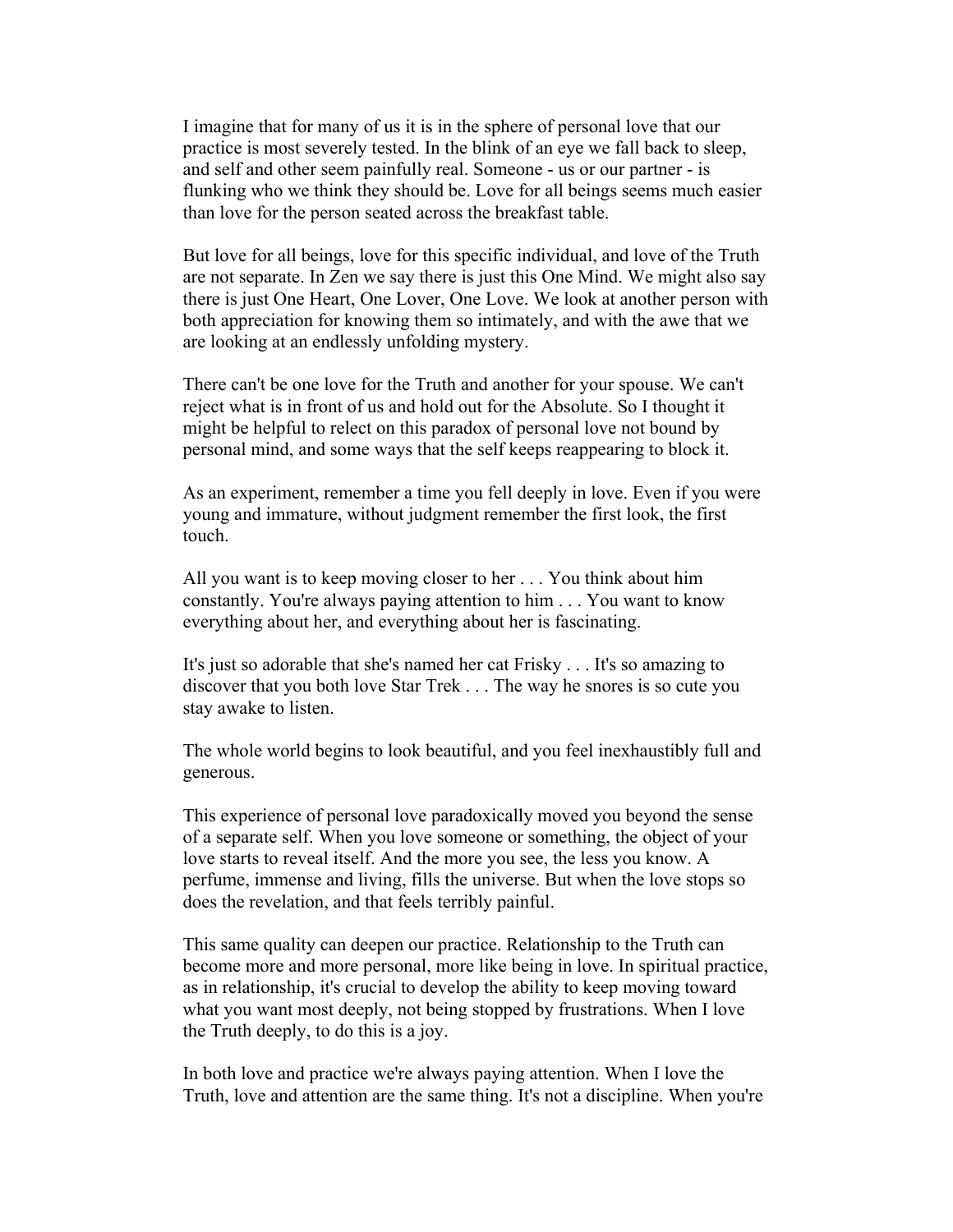I imagine that for many of us it is in the sphere of personal love that our practice is most severely tested. In the blink of an eye we fall back to sleep, and self and other seem painfully real. Someone - us or our partner - is flunking who we think they should be. Love for all beings seems much easier than love for the person seated across the breakfast table.

But love for all beings, love for this specific individual, and love of the Truth are not separate. In Zen we say there is just this One Mind. We might also say there is just One Heart, One Lover, One Love. We look at another person with both appreciation for knowing them so intimately, and with the awe that we are looking at an endlessly unfolding mystery.

There can't be one love for the Truth and another for your spouse. We can't reject what is in front of us and hold out for the Absolute. So I thought it might be helpful to relect on this paradox of personal love not bound by personal mind, and some ways that the self keeps reappearing to block it.

As an experiment, remember a time you fell deeply in love. Even if you were young and immature, without judgment remember the first look, the first touch.

All you want is to keep moving closer to her . . . You think about him constantly. You're always paying attention to him . . . You want to know everything about her, and everything about her is fascinating.

It's just so adorable that she's named her cat Frisky . . . It's so amazing to discover that you both love Star Trek . . . The way he snores is so cute you stay awake to listen.

The whole world begins to look beautiful, and you feel inexhaustibly full and generous.

This experience of personal love paradoxically moved you beyond the sense of a separate self. When you love someone or something, the object of your love starts to reveal itself. And the more you see, the less you know. A perfume, immense and living, fills the universe. But when the love stops so does the revelation, and that feels terribly painful.

This same quality can deepen our practice. Relationship to the Truth can become more and more personal, more like being in love. In spiritual practice, as in relationship, it's crucial to develop the ability to keep moving toward what you want most deeply, not being stopped by frustrations. When I love the Truth deeply, to do this is a joy.

In both love and practice we're always paying attention. When I love the Truth, love and attention are the same thing. It's not a discipline. When you're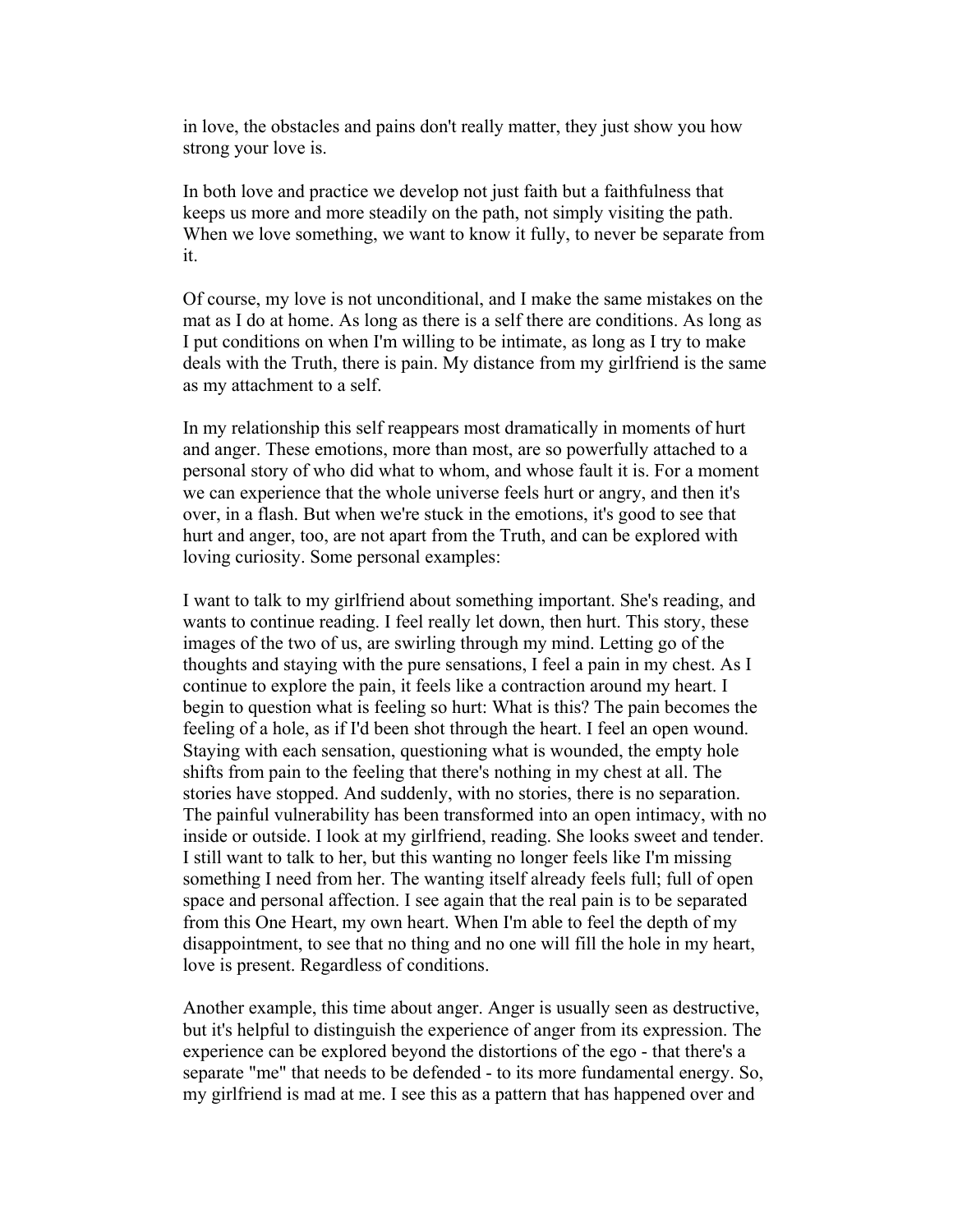in love, the obstacles and pains don't really matter, they just show you how strong your love is.

In both love and practice we develop not just faith but a faithfulness that keeps us more and more steadily on the path, not simply visiting the path. When we love something, we want to know it fully, to never be separate from it.

Of course, my love is not unconditional, and I make the same mistakes on the mat as I do at home. As long as there is a self there are conditions. As long as I put conditions on when I'm willing to be intimate, as long as I try to make deals with the Truth, there is pain. My distance from my girlfriend is the same as my attachment to a self.

In my relationship this self reappears most dramatically in moments of hurt and anger. These emotions, more than most, are so powerfully attached to a personal story of who did what to whom, and whose fault it is. For a moment we can experience that the whole universe feels hurt or angry, and then it's over, in a flash. But when we're stuck in the emotions, it's good to see that hurt and anger, too, are not apart from the Truth, and can be explored with loving curiosity. Some personal examples:

I want to talk to my girlfriend about something important. She's reading, and wants to continue reading. I feel really let down, then hurt. This story, these images of the two of us, are swirling through my mind. Letting go of the thoughts and staying with the pure sensations, I feel a pain in my chest. As I continue to explore the pain, it feels like a contraction around my heart. I begin to question what is feeling so hurt: What is this? The pain becomes the feeling of a hole, as if I'd been shot through the heart. I feel an open wound. Staying with each sensation, questioning what is wounded, the empty hole shifts from pain to the feeling that there's nothing in my chest at all. The stories have stopped. And suddenly, with no stories, there is no separation. The painful vulnerability has been transformed into an open intimacy, with no inside or outside. I look at my girlfriend, reading. She looks sweet and tender. I still want to talk to her, but this wanting no longer feels like I'm missing something I need from her. The wanting itself already feels full; full of open space and personal affection. I see again that the real pain is to be separated from this One Heart, my own heart. When I'm able to feel the depth of my disappointment, to see that no thing and no one will fill the hole in my heart, love is present. Regardless of conditions.

Another example, this time about anger. Anger is usually seen as destructive, but it's helpful to distinguish the experience of anger from its expression. The experience can be explored beyond the distortions of the ego - that there's a separate "me" that needs to be defended - to its more fundamental energy. So, my girlfriend is mad at me. I see this as a pattern that has happened over and